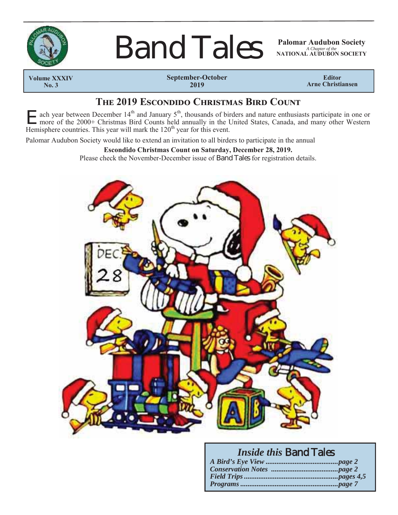

# **Band Tales**

*A Chapter of the* **NATIONAL AUDUBON SOCIETY**

 **Volume XXXIV No. 3**

**September-October 2019**

**Editor Arne Christiansen**

## **THE 2019 ESCONDIDO CHRISTMAS BIRD COUNT**

E ach year between December 14<sup>th</sup> and January 5<sup>th</sup>, thousands of birders and nature enthusiasts participate in one or more of the 2000+ Christmas Bird Counts held annually in the United States, Canada, and many other We Hemisphere countries. This year will mark the  $120<sup>th</sup>$  year for this event.

Palomar Audubon Society would like to extend an invitation to all birders to participate in the annual

#### **Escondido Christmas Count on Saturday, December 28, 2019.**

Please check the November-December issue of Band Tales for registration details.



## *Inside this* Band Tales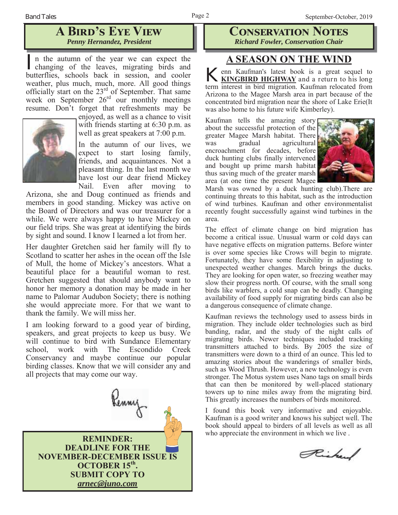## **A BIRD'S EYE VIEW** *Penny Hernandez, President*

In the autumn of the year we can expect the changing of the leaves, migrating birds and butterflies, schools back in session, and cooler weather, plus much, much, more. All good things officially start on the 23<sup>rd</sup> of September. That same week on September  $26<sup>rd</sup>$  our monthly meetings resume. Don't forget that refreshments may be



enjoyed, as well as a chance to visit with friends starting at 6:30 p.m. as well as great speakers at 7:00 p.m.

In the autumn of our lives, we expect to start losing family, friends, and acquaintances. Not a pleasant thing. In the last month we have lost our dear friend Mickey Nail. Even after moving to

Arizona, she and Doug continued as friends and members in good standing. Mickey was active on the Board of Directors and was our treasurer for a while. We were always happy to have Mickey on our field trips. She was great at identifying the birds by sight and sound. I know I learned a lot from her.

Her daughter Gretchen said her family will fly to Scotland to scatter her ashes in the ocean off the Isle of Mull, the home of Mickey's ancestors. What a beautiful place for a beautiful woman to rest. Gretchen suggested that should anybody want to honor her memory a donation may be made in her name to Palomar Audubon Society; there is nothing she would appreciate more. For that we want to thank the family. We will miss her.

I am looking forward to a good year of birding, speakers, and great projects to keep us busy. We will continue to bird with Sundance Elementary school, work with The Escondido Creek Conservancy and maybe continue our popular birding classes. Know that we will consider any and all projects that may come our way.



**CONSERVATION NOTES** *Richard Fowler, Conservation Chair*

## **A SEASON ON THE WIND**

**K** enn Kaufman's latest book is a great sequel to **KINGBIRD HIGHWAY** and a return to his long term interest in bird migration. Kaufman relocated from Arizona to the Magee Marsh area in part because of the concentrated bird migration near the shore of Lake Erie(It was also home to his future wife Kimberley).

Kaufman tells the amazing story about the successful protection of the greater Magee Marsh habitat. There was gradual agricultural encroachment for decades, before duck hunting clubs finally intervened and bought up prime marsh habitat thus saving much of the greater marsh area (at one time the present Magee



Marsh was owned by a duck hunting club).There are continuing threats to this habitat, such as the introduction of wind turbines. Kaufman and other environmentalist recently fought successfully against wind turbines in the area.

The effect of climate change on bird migration has become a critical issue. Unusual warm or cold days can have negative effects on migration patterns. Before winter is over some species like Crows will begin to migrate. Fortunately, they have some flexibility in adjusting to unexpected weather changes. March brings the ducks. They are looking for open water, so freezing weather may slow their progress north. Of course, with the small song birds like warblers, a cold snap can be deadly. Changing availability of food supply for migrating birds can also be a dangerous consequence of climate change.

Kaufman reviews the technology used to assess birds in migration. They include older technologies such as bird banding, radar, and the study of the night calls of migrating birds. Newer techniques included tracking transmitters attached to birds. By 2005 the size of transmitters were down to a third of an ounce. This led to amazing stories about the wanderings of smaller birds, such as Wood Thrush. However, a new technology is even stronger. The Motus system uses Nano tags on small birds that can then be monitored by well-placed stationary towers up to nine miles away from the migrating bird. This greatly increases the numbers of birds monitored.

I found this book very informative and enjoyable. Kaufman is a good writer and knows his subject well. The book should appeal to birders of all levels as well as all who appreciate the environment in which we live .

Richard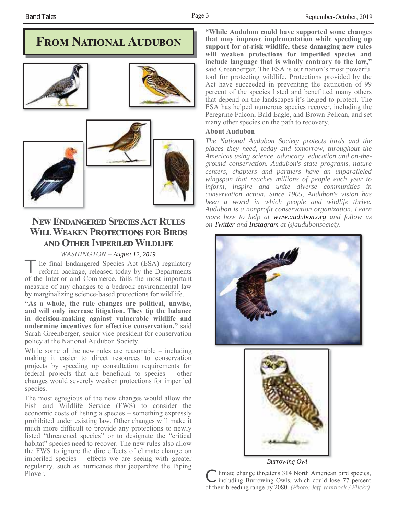## **FROM NATIONAL AUDUBON**



## **NEW ENDANGERED SPECIES ACT RULES WILL WEAKEN PROTECTIONS FOR BIRDS AND OTHER IMPERILED WILDLIFE**

#### *WASHINGTON – August 12, 2019*

he final Endangered Species Act (ESA) regulatory reform package, released today by the Departments of the Interior and Commerce, fails the most important measure of any changes to a bedrock environmental law by marginalizing science-based protections for wildlife.

**"As a whole, the rule changes are political, unwise, and will only increase litigation. They tip the balance in decision-making against vulnerable wildlife and undermine incentives for effective conservation,"** said Sarah Greenberger, senior vice president for conservation policy at the National Audubon Society.

While some of the new rules are reasonable – including making it easier to direct resources to conservation projects by speeding up consultation requirements for federal projects that are beneficial to species – other changes would severely weaken protections for imperiled species.

The most egregious of the new changes would allow the Fish and Wildlife Service (FWS) to consider the economic costs of listing a species – something expressly prohibited under existing law. Other changes will make it much more difficult to provide any protections to newly listed "threatened species" or to designate the "critical habitat" species need to recover. The new rules also allow the FWS to ignore the dire effects of climate change on imperiled species – effects we are seeing with greater regularity, such as hurricanes that jeopardize the Piping **"While Audubon could have supported some changes that may improve implementation while speeding up support for at-risk wildlife, these damaging new rules will weaken protections for imperiled species and include language that is wholly contrary to the law,"** said Greenberger. The ESA is our nation's most powerful tool for protecting wildlife. Protections provided by the Act have succeeded in preventing the extinction of 99 percent of the species listed and benefitted many others that depend on the landscapes it's helped to protect. The ESA has helped numerous species recover, including the Peregrine Falcon, Bald Eagle, and Brown Pelican, and set many other species on the path to recovery.

#### **About Audubon**

*The National Audubon Society protects birds and the places they need, today and tomorrow, throughout the Americas using science, advocacy, education and on-theground conservation. Audubon's state programs, nature centers, chapters and partners have an unparalleled wingspan that reaches millions of people each year to inform, inspire and unite diverse communities in conservation action. Since 1905, Audubon's vision has been a world in which people and wildlife thrive. Audubon is a nonprofit conservation organization. Learn more how to help at www.audubon.org and follow us on Twitter and Instagram at @audubonsociety.*





*Burrowing Owl*

Plover.<br>
Plover.<br>
C limate change threatens 314 North American bird species,<br>
C limate change threatens 314 North American bird species,<br>
C limate change threatens 314 North American bird species, of their breeding range by 2080. *(Photo: Jeff Whitlock / Flickr)*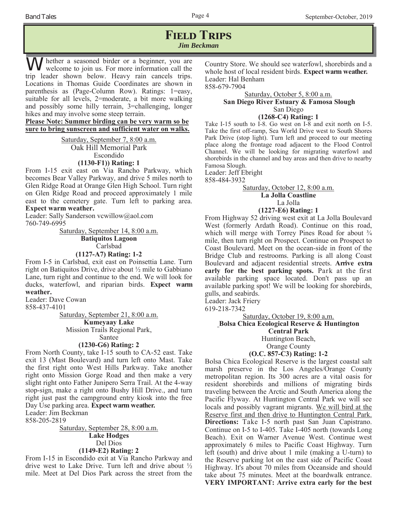## **FIELD TRIPS** *Jim Beckman*

hether a seasoned birder or a beginner, you are welcome to join us. For more information call the trip leader shown below. Heavy rain cancels trips. Locations in Thomas Guide Coordinates are shown in parenthesis as (Page-Column Row). Ratings: 1=easy, suitable for all levels, 2=moderate, a bit more walking and possibly some hilly terrain, 3=challenging, longer hikes and may involve some steep terrain.

**Please Note: Summer birding can be very warm so be sure to bring sunscreen and sufficient water on walks.**

> Saturday, September 7, 8:00 a.m. Oak Hill Memorial Park Escondido **(1130-F1)) Rating: 1**

From I-15 exit east on Via Rancho Parkway, which becomes Bear Valley Parkway, and drive 5 miles north to Glen Ridge Road at Orange Glen High School. Turn right on Glen Ridge Road and proceed approximately 1 mile east to the cemetery gate. Turn left to parking area. **Expect warm weather.**

Leader: Sally Sanderson vcwillow@aol.com 760-749-6995

> Saturday, September 14, 8:00 a.m. **Batiquitos Lagoon** Carlsbad **(1127-A7) Rating: 1-2**

From I-5 in Carlsbad, exit east on Poinsettia Lane. Turn right on Batiquitos Drive, drive about ½ mile to Gabbiano Lane, turn right and continue to the end. We will look for ducks, waterfowl, and riparian birds. **Expect warm weather.**

Leader: Dave Cowan

858-437-4101

Saturday, September 21, 8:00 a.m. **Kumeyaay Lake** 

Mission Trails Regional Park,

#### Santee **(1230-G6) Rating: 2**

From North County, take I-15 south to CA-52 east. Take exit 13 (Mast Boulevard) and turn left onto Mast. Take the first right onto West Hills Parkway. Take another right onto Mission Gorge Road and then make a very slight right onto Father Junipero Serra Trail. At the 4-way stop-sign, make a right onto Bushy Hill Drive., and turn right just past the campground entry kiosk into the free Day Use parking area. **Expect warm weather.**

Leader: Jim Beckman

858-205-2819

Saturday, September 28, 8:00 a.m. **Lake Hodges** Del Dios **(1149-E2) Rating: 2**

From I-15 in Escondido exit at Via Rancho Parkway and drive west to Lake Drive. Turn left and drive about ½ mile. Meet at Del Dios Park across the street from the Country Store. We should see waterfowl, shorebirds and a whole host of local resident birds. **Expect warm weather.** Leader: Hal Benham 858-679-7904

#### Saturday, October 5, 8:00 a.m. **San Diego River Estuary & Famosa Slough** San Diego **(1268-C4) Rating: 1**

Take I-15 south to I-8. Go west on I-8 and exit north on I-5. Take the first off-ramp, Sea World Drive west to South Shores Park Drive (stop light). Turn left and proceed to our meeting place along the frontage road adjacent to the Flood Control Channel. We will be looking for migrating waterfowl and shorebirds in the channel and bay areas and then drive to nearby Famosa Slough.

Leader: Jeff Ebright

858-484-3932

#### Saturday, October 12, 8:00 a.m. **La Jolla Coastline** La Jolla **(1227-E6) Rating: 1**

From Highway 52 driving west exit at La Jolla Boulevard West (formerly Ardath Road). Continue on this road, which will merge with Torrey Pines Road for about  $\frac{3}{4}$ mile, then turn right on Prospect. Continue on Prospect to Coast Boulevard. Meet on the ocean-side in front of the Bridge Club and restrooms. Parking is all along Coast Boulevard and adjacent residential streets. **Arrive extra early for the best parking spots.** Park at the first available parking space located. Don't pass up an available parking spot! We will be looking for shorebirds, gulls, and seabirds.

Leader: Jack Friery

619-218-7342

Saturday, October 19, 8:00 a,m.

**Bolsa Chica Ecological Reserve & Huntington** 

**Central Park**

Huntington Beach,

Orange County

#### **(O.C. 857-C3) Rating: 1-2**

Bolsa Chica Ecological Reserve is the largest coastal salt marsh preserve in the Los Angeles/Orange County metropolitan region. Its 300 acres are a vital oasis for resident shorebirds and millions of migrating birds traveling between the Arctic and South America along the Pacific Flyway. At Huntington Central Park we will see locals and possibly vagrant migrants. We will bird at the Reserve first and then drive to Huntington Central Park. **Directions:** Take I-5 north past San Juan Capistrano. Continue on I-5 to I-405. Take I-405 north (towards Long Beach). Exit on Warner Avenue West. Continue west approximately 6 miles to Pacific Coast Highway. Turn left (south) and drive about 1 mile (making a U-turn) to the Reserve parking lot on the east side of Pacific Coast Highway. It's about 70 miles from Oceanside and should take about 75 minutes. Meet at the boardwalk entrance. **VERY IMPORTANT: Arrive extra early for the best**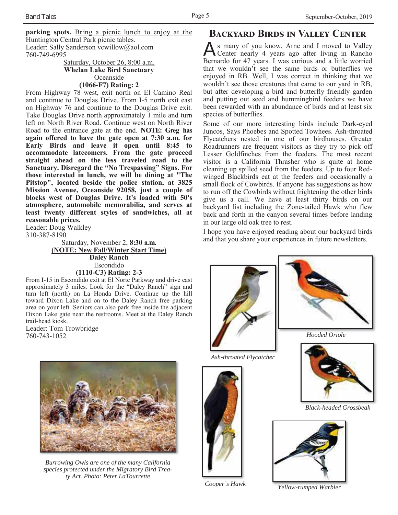**parking spots.** Bring a picnic lunch to enjoy at the Huntington Central Park picnic tables. Leader: Sally Sanderson vcwillow@aol.com 760-749-6995

Saturday, October 26, 8:00 a.m. **Whelan Lake Bird Sanctuary** Oceanside

#### **(1066-F7) Rating: 2**

From Highway 78 west, exit north on El Camino Real and continue to Douglas Drive. From I-5 north exit east on Highway 76 and continue to the Douglas Drive exit. Take Douglas Drive north approximately 1 mile and turn left on North River Road. Continue west on North River Road to the entrance gate at the end. **NOTE: Greg has again offered to have the gate open at 7:30 a.m. for Early Birds and leave it open until 8:45 to accommodate latecomers. From the gate proceed straight ahead on the less traveled road to the Sanctuary. Disregard the "No Trespassing" Signs. For those interested in lunch, we will be dining at "The Pitstop", located beside the police station, at 3825 Mission Avenue, Oceanside 92058, just a couple of blocks west of Douglas Drive. It's loaded with 50's atmosphere, automobile memorabilia, and serves at least twenty different styles of sandwiches, all at reasonable prices.**

Leader: Doug Walkley 310-387-8190

Saturday, November 2, **8:30 a.m. (NOTE: New Fall/Winter Start Time) Daley Ranch** Escondido **(1110-C3) Rating: 2-3**

From I-15 in Escondido exit at El Norte Parkway and drive east approximately 3 miles. Look for the "Daley Ranch" sign and turn left (north) on La Honda Drive. Continue up the hill toward Dixon Lake and on to the Daley Ranch free parking area on your left. Seniors can also park free inside the adjacent Dixon Lake gate near the restrooms. Meet at the Daley Ranch trail-head kiosk.

Leader: Tom Trowbridge 760-743-1052



*Burrowing Owls are one of the many California species protected under the Migratory Bird Treaty Act. Photo: Peter LaTourrette* 

## **BACKYARD BIRDS IN VALLEY CENTER**

As many of you know, Arne and I moved to Valley<br>Center nearly 4 years ago after living in Rancho Bernardo for 47 years. I was curious and a little worried that we wouldn't see the same birds or butterflies we enjoyed in RB. Well, I was correct in thinking that we wouldn't see those creatures that came to our yard in RB, but after developing a bird and butterfly friendly garden and putting out seed and hummingbird feeders we have been rewarded with an abundance of birds and at least six species of butterflies.

Some of our more interesting birds include Dark-eyed Juncos, Says Phoebes and Spotted Towhees. Ash-throated Flycatchers nested in one of our birdhouses. Greater Roadrunners are frequent visitors as they try to pick off Lesser Goldfinches from the feeders. The most recent visitor is a California Thrasher who is quite at home cleaning up spilled seed from the feeders. Up to four Redwinged Blackbirds eat at the feeders and occasionally a small flock of Cowbirds. If anyone has suggestions as how to run off the Cowbirds without frightening the other birds give us a call. We have at least thirty birds on our backyard list including the Zone-tailed Hawk who flew back and forth in the canyon several times before landing in our large old oak tree to rest.

I hope you have enjoyed reading about our backyard birds and that you share your experiences in future newsletters.



*Ash-throated Flycatcher*



*Hooded Oriole*



*Black-headed Grossbeak*



*Cooper's Hawk Yellow-rumped Warbler*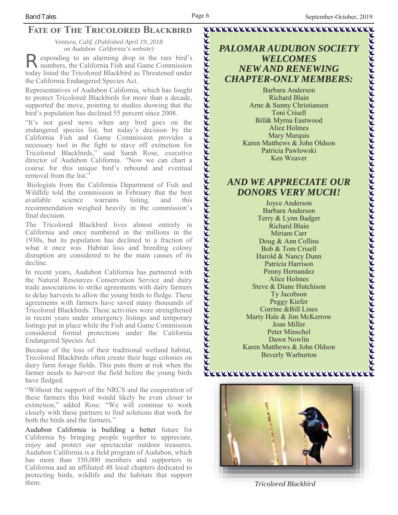## **FATE OF THE TRICOLORED BLACKBIRD**

*Ventura, Calif. (Published April 19, 2018 on Audubon California's website)*

esponding to an alarming drop in the rare bird's numbers, the California Fish and Game Commission today listed the Tricolored Blackbird as Threatened under the California Endangered Species Act.

Representatives of Audubon California, which has fought to protect Tricolored Blackbirds for more than a decade, supported the move, pointing to studies showing that the bird's population has declined 55 percent since 2008.

"It's not good news when any bird goes on the endangered species list, but today's decision by the California Fish and Game Commission provides a necessary tool in the fight to stave off extinction for Tricolored Blackbirds," said Sarah Rose, executive director of Audubon California. "Now we can chart a course for this unique bird's rebound and eventual removal from the list."

Biologists from the California Department of Fish and Wildlife told the commission in February that the best available science warrants listing, and this recommendation weighed heavily in the commission's final decision.

The Tricolored Blackbird lives almost entirely in California and once numbered in the millions in the 1930s, but its population has declined to a fraction of what it once was. Habitat loss and breeding colony disruption are considered to be the main causes of its decline.

In recent years, Audubon California has partnered with the Natural Resources Conservation Service and dairy trade associations to strike agreements with dairy farmers to delay harvests to allow the young birds to fledge. These agreements with farmers have saved many thousands of Tricolored Blackbirds. These activities were strengthened in recent years under emergency listings and temporary listings put in place while the Fish and Game Commission considered formal protections under the California Endangered Species Act.

Because of the loss of their traditional wetland habitat, Tricolored Blackbirds often create their huge colonies on dairy farm forage fields. This puts them at risk when the farmer needs to harvest the field before the young birds have fledged.

"Without the support of the NRCS and the cooperation of these farmers this bird would likely be even closer to extinction," added Rose. "We will continue to work closely with these partners to find solutions that work for both the birds and the farmers."

Audubon California is building a better future for California by bringing people together to appreciate, enjoy and protect our spectacular outdoor treasures. Audubon California is a field program of Audubon, which has more than 350,000 members and supporters in California and an affiliated 48 local chapters dedicated to protecting birds, wildlife and the habitats that support them. *Tricolored Blackbird*

*PALOMAR AUDUBON SOCIETY WELCOMES NEW AND RENEWING CHAPTER-ONLY MEMBERS:*

<u>Kaananan kanan kanan kanan kanan kanan</u>

Barbara Anderson Richard Blain Arne & Sunny Christiansen Toni Crisell Bill& Myrna Eastwood Alice Holmes Mary Marquis Karen Matthews & John Oldson Patricia Pawlowski Ken Weaver

## *AND WE APPRECIATE OUR DONORS VERY MUCH!*

Joyce Anderson Barbara Anderson Terry & Lynn Badger Richard Blain Miriam Carr Doug & Ann Collins Bob & Tom Crisell Harold & Nancy Dunn Patricia Harrison Penny Hernandez Alice Holmes Steve & Diane Hutchison Ty Jacobson Peggy Kiefer Corrine &Bill Lines Marty Hale & Jim McKerrow Joan Miller Peter Minschel Dawn Nowlin Karen Matthews & John Oldson Beverly Warburton



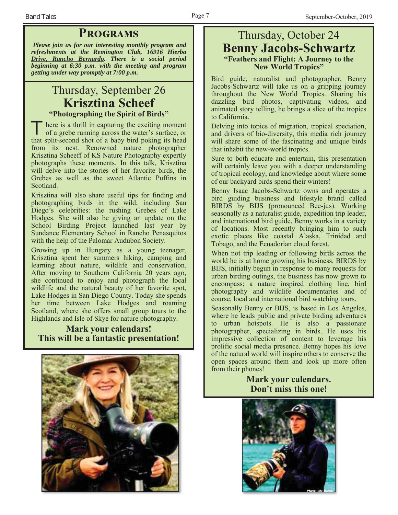## **PROGRAMS**

*Please join us for our interesting monthly program and refreshments at the Remington Club, 16916 Hierba Drive, Rancho Bernardo. There is a social period beginning at 6:30 p.m. with the meeting and program getting under way promptly at 7:00 p.m.*

## Thursday, September 26 **Krisztina Scheef "Photographing the Spirit of Birds"**

T here is a thrill in capturing the exciting moment of a grebe running across the water's surface, or that split-second shot of a baby bird poking its head from its nest. Renowned nature photographer Krisztina Scheeff of KS Nature Photography expertly photographs these moments. In this talk, Krisztina will delve into the stories of her favorite birds, the Grebes as well as the sweet Atlantic Puffins in Scotland.

Krisztina will also share useful tips for finding and photographing birds in the wild, including San Diego's celebrities: the rushing Grebes of Lake Hodges. She will also be giving an update on the School Birding Project launched last year by Sundance Elementary School in Rancho Penasquitos with the help of the Palomar Audubon Society.

Growing up in Hungary as a young teenager, Krisztina spent her summers hiking, camping and learning about nature, wildlife and conservation. After moving to Southern California 20 years ago, she continued to enjoy and photograph the local wildlife and the natural beauty of her favorite spot, Lake Hodges in San Diego County. Today she spends her time between Lake Hodges and roaming Scotland, where she offers small group tours to the Highlands and Isle of Skye for nature photography.

## **Mark your calendars! This will be a fantastic presentation!**



## Thursday, October 24 **Benny Jacobs-Schwartz "Feathers and Flight: A Journey to the New World Tropics"**

Bird guide, naturalist and photographer, Benny Jacobs-Schwartz will take us on a gripping journey throughout the New World Tropics. Sharing his dazzling bird photos, captivating videos, and animated story telling, he brings a slice of the tropics to California.

Delving into topics of migration, tropical speciation, and drivers of bio-diversity, this media rich journey will share some of the fascinating and unique birds that inhabit the new-world tropics.

Sure to both educate and entertain, this presentation will certainly leave you with a deeper understanding of tropical ecology, and knowledge about where some of our backyard birds spend their winters!

Benny Isaac Jacobs-Schwartz owns and operates a bird guiding business and lifestyle brand called BIRDS by BIJS (pronounced Bee-jus). Working seasonally as a naturalist guide, expedition trip leader, and international bird guide, Benny works in a variety of locations. Most recently bringing him to such exotic places like coastal Alaska, Trinidad and Tobago, and the Ecuadorian cloud forest.

When not trip leading or following birds across the world he is at home growing his business. BIRDS by BIJS, initially begun in response to many requests for urban birding outings, the business has now grown to encompass; a nature inspired clothing line, bird photography and wildlife documentaries and of course, local and international bird watching tours.

Seasonally Benny or BIJS, is based in Los Angeles, where he leads public and private birding adventures to urban hotspots. He is also a passionate photographer, specializing in birds. He uses his impressive collection of content to leverage his prolific social media presence. Benny hopes his love of the natural world will inspire others to conserve the open spaces around them and look up more often from their phones!

### **Mark your calendars. Don't miss this one!**